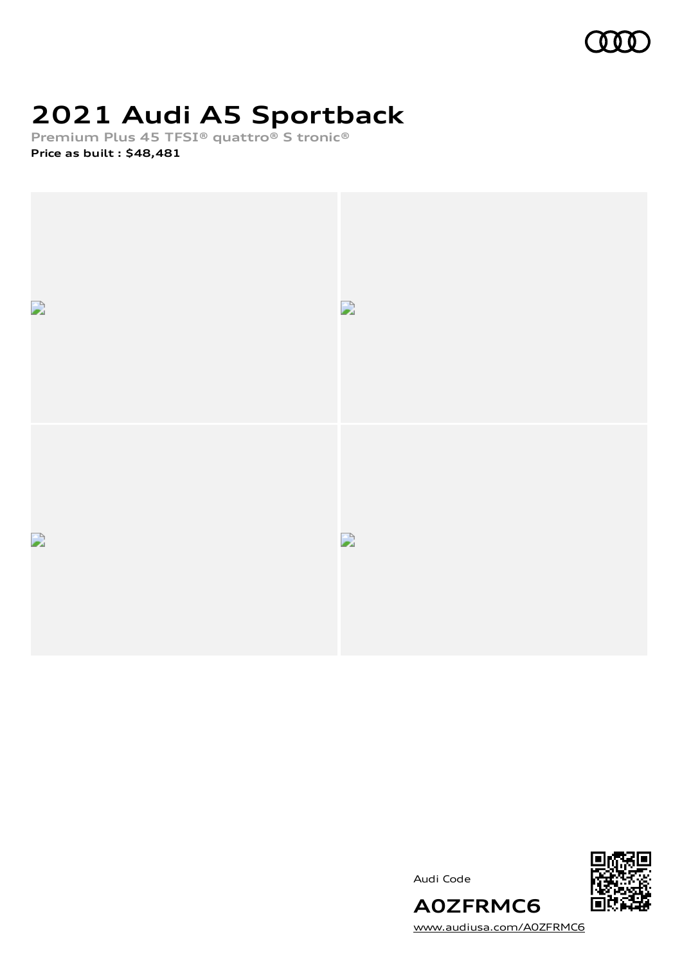

# **2021 Audi A5 Sportback**

**Premium Plus 45 TFSI® quattro® S tronic®**

**Price as built [:](#page-8-0) \$48,481**



Audi Code



[www.audiusa.com/A0ZFRMC6](https://www.audiusa.com/A0ZFRMC6)

**A0ZFRMC6**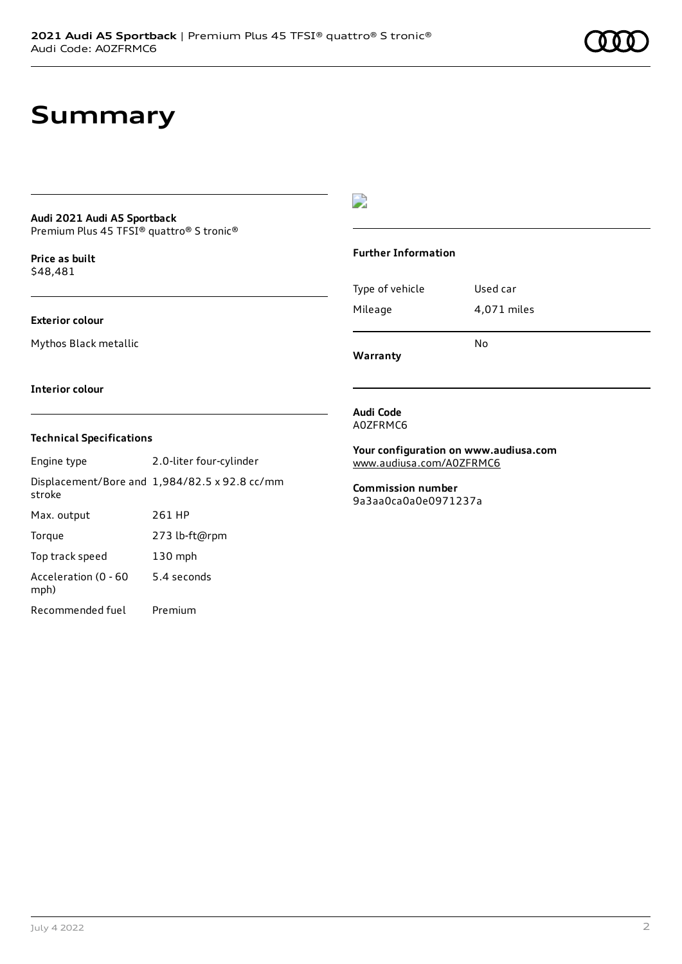### **Summary**

#### **Audi 2021 Audi A5 Sportback** Premium Plus 45 TFSI® quattro® S tronic®

**Price as buil[t](#page-8-0)** \$48,481

### **Exterior colour**

Mythos Black metallic

#### **Interior colour**

### **Technical Specifications**

| Engine type                  | 2.0-liter four-cylinder                              |
|------------------------------|------------------------------------------------------|
| stroke                       | Displacement/Bore and $1,984/82.5 \times 92.8$ cc/mm |
| Max. output                  | 261 HP                                               |
| Torque                       | 273 lb-ft@rpm                                        |
| Top track speed              | $130$ mph                                            |
| Acceleration (0 - 60<br>mph) | 5.4 seconds                                          |
| Recommended fuel             | Premium                                              |

### $\overline{\phantom{a}}$

#### **Further Information**

|                 | N٥          |  |
|-----------------|-------------|--|
| Mileage         | 4,071 miles |  |
| Type of vehicle | Used car    |  |

**Warranty**

#### **Audi Code** A0ZFRMC6

**Your configuration on www.audiusa.com** [www.audiusa.com/A0ZFRMC6](https://www.audiusa.com/A0ZFRMC6)

**Commission number** 9a3aa0ca0a0e0971237a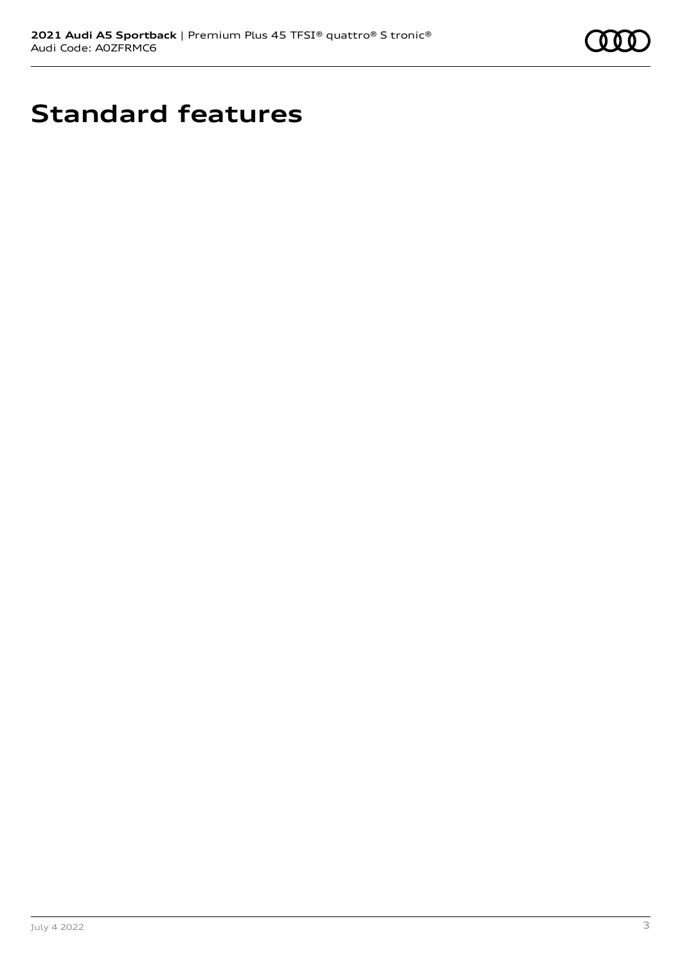

# **Standard features**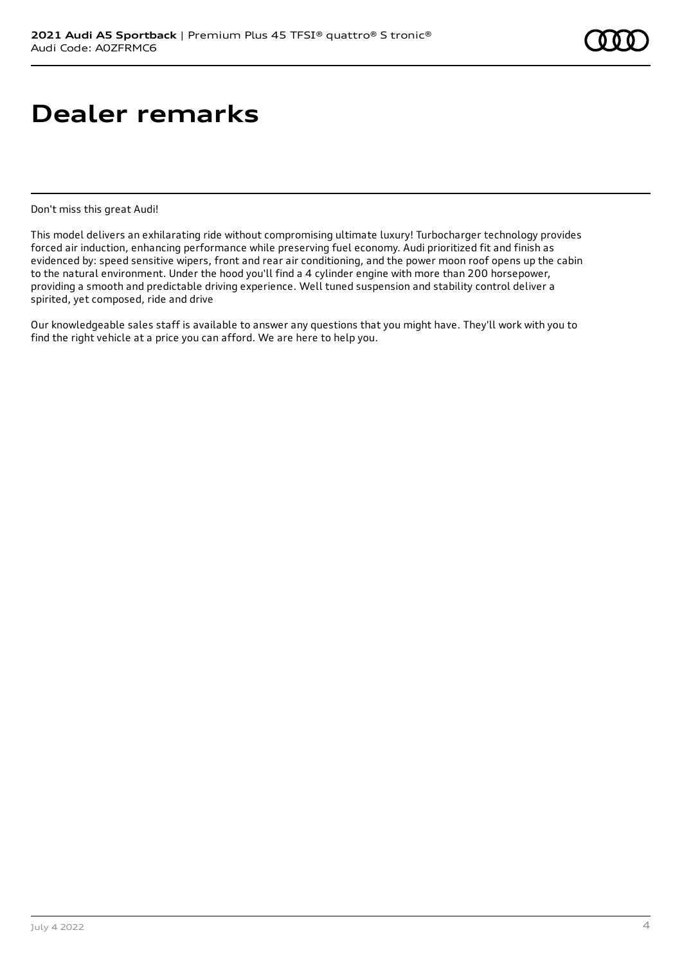## **Dealer remarks**

Don't miss this great Audi!

This model delivers an exhilarating ride without compromising ultimate luxury! Turbocharger technology provides forced air induction, enhancing performance while preserving fuel economy. Audi prioritized fit and finish as evidenced by: speed sensitive wipers, front and rear air conditioning, and the power moon roof opens up the cabin to the natural environment. Under the hood you'll find a 4 cylinder engine with more than 200 horsepower, providing a smooth and predictable driving experience. Well tuned suspension and stability control deliver a spirited, yet composed, ride and drive

Our knowledgeable sales staff is available to answer any questions that you might have. They'll work with you to find the right vehicle at a price you can afford. We are here to help you.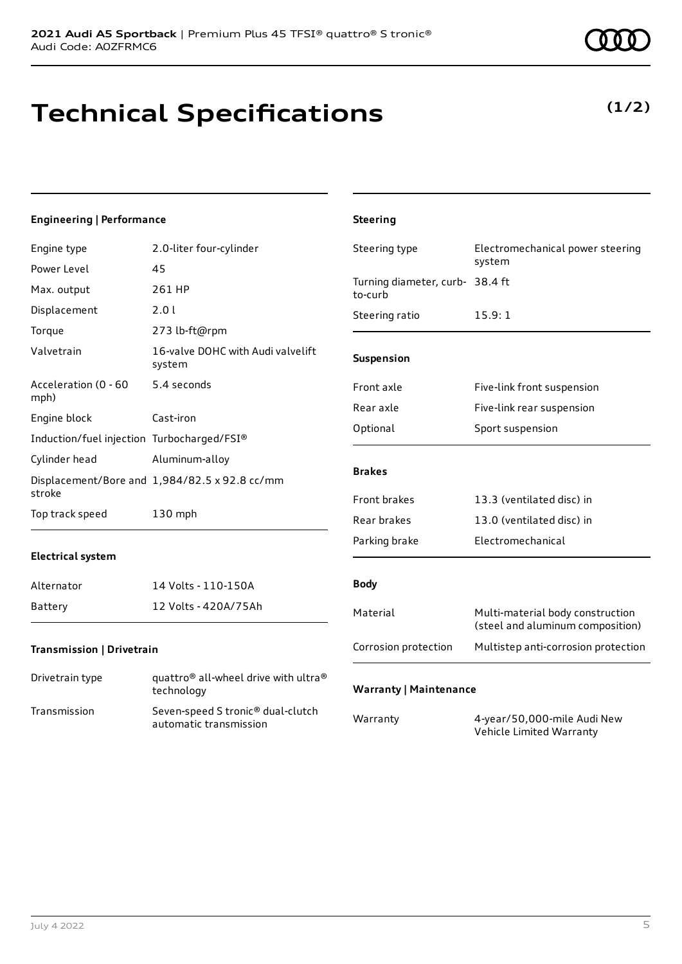## **Technical Specifications**

### **Engineering | Performance**

| Engine type                                | 2.0-liter four-cylinder                                                 | Steering type                              | Electromechanical power steering                                     |
|--------------------------------------------|-------------------------------------------------------------------------|--------------------------------------------|----------------------------------------------------------------------|
| Power Level                                | 45                                                                      |                                            | system                                                               |
| Max. output                                | 261 HP                                                                  | Turning diameter, curb- 38.4 ft<br>to-curb |                                                                      |
| Displacement                               | 2.0 l                                                                   | Steering ratio                             | 15.9:1                                                               |
| Torque                                     | 273 lb-ft@rpm                                                           |                                            |                                                                      |
| Valvetrain                                 | 16-valve DOHC with Audi valvelift<br>system                             | Suspension                                 |                                                                      |
| Acceleration (0 - 60<br>mph)               | 5.4 seconds                                                             | Front axle                                 | Five-link front suspension                                           |
| Engine block                               | Cast-iron                                                               | Rear axle                                  | Five-link rear suspension                                            |
|                                            |                                                                         | Optional                                   | Sport suspension                                                     |
| Induction/fuel injection Turbocharged/FSI® |                                                                         |                                            |                                                                      |
| Cylinder head                              | Aluminum-alloy                                                          | <b>Brakes</b>                              |                                                                      |
| stroke                                     | Displacement/Bore and 1,984/82.5 x 92.8 cc/mm                           |                                            |                                                                      |
|                                            |                                                                         | Front brakes                               | 13.3 (ventilated disc) in                                            |
| Top track speed                            | 130 mph                                                                 | Rear brakes                                | 13.0 (ventilated disc) in                                            |
|                                            |                                                                         | Parking brake                              | Electromechanical                                                    |
| <b>Electrical system</b>                   |                                                                         |                                            |                                                                      |
| Alternator                                 | 14 Volts - 110-150A                                                     | <b>Body</b>                                |                                                                      |
| Battery                                    | 12 Volts - 420A/75Ah                                                    | Material                                   | Multi-material body construction<br>(steel and aluminum composition) |
| Transmission   Drivetrain                  |                                                                         | Corrosion protection                       | Multistep anti-corrosion protection                                  |
| Drivetrain type                            | quattro® all-wheel drive with ultra®<br>technology                      | <b>Warranty   Maintenance</b>              |                                                                      |
| Transmission                               | Seven-speed S tronic <sup>®</sup> dual-clutch<br>automatic transmission | Warranty                                   | 4-year/50,000-mile Audi New<br>Vehicle Limited Warranty              |

**Steering**

### **(1/2)**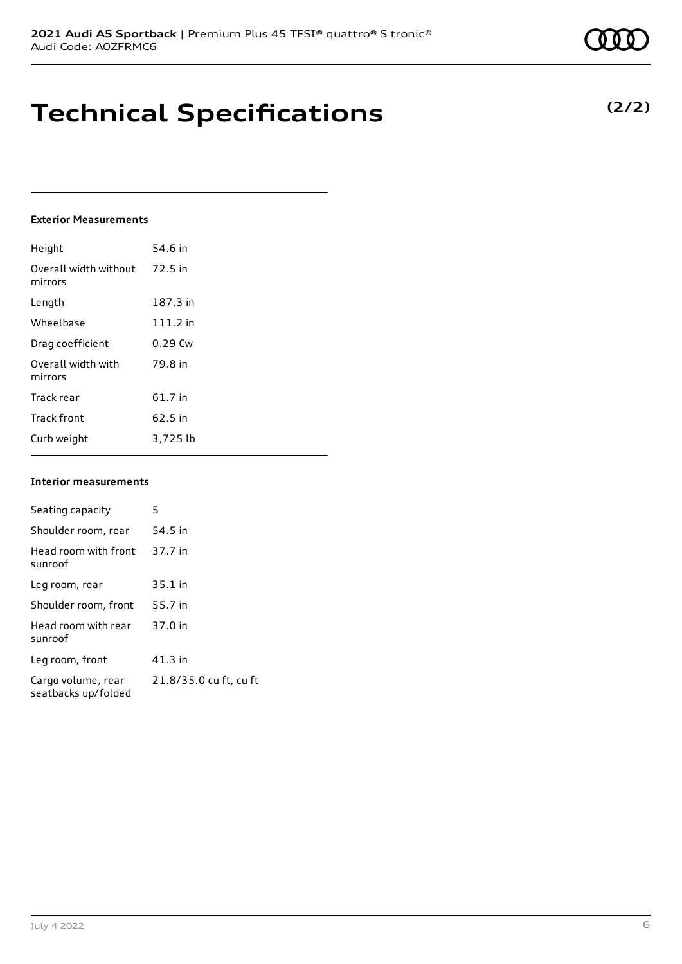## **Technical Specifications**

### **Exterior Measurements**

| Height                           | 54.6 in    |
|----------------------------------|------------|
| Overall width without<br>mirrors | 72.5 in    |
| Length                           | 187.3 in   |
| Wheelbase                        | $111.2$ in |
| Drag coefficient                 | $0.29$ Cw  |
| Overall width with<br>mirrors    | 79.8 in    |
| Track rear                       | 61.7 in    |
| <b>Track front</b>               | 62.5 in    |
| Curb weight                      | 3,725 lb   |

#### **Interior measurements**

| Seating capacity                          | 5                      |
|-------------------------------------------|------------------------|
| Shoulder room, rear                       | 54.5 in                |
| Head room with front<br>sunroof           | 37.7 in                |
| Leg room, rear                            | $35.1$ in              |
| Shoulder room, front                      | 55.7 in                |
| Head room with rear<br>sunroof            | 37.0 in                |
| Leg room, front                           | $41.3$ in              |
| Cargo volume, rear<br>seatbacks up/folded | 21.8/35.0 cu ft, cu ft |



**(2/2)**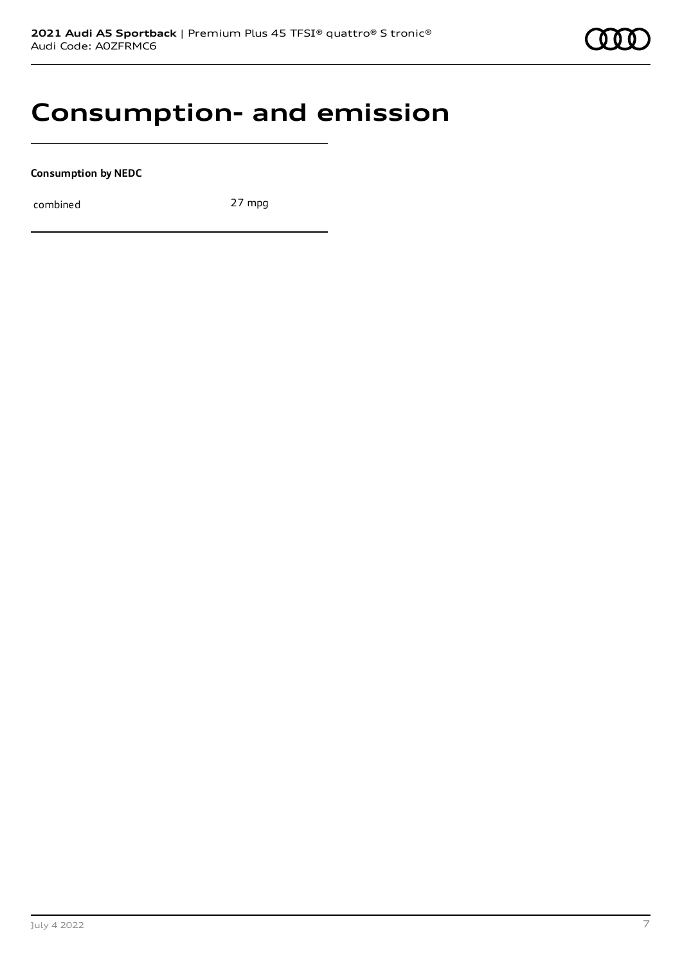### **Consumption- and emission**

**Consumption by NEDC**

combined 27 mpg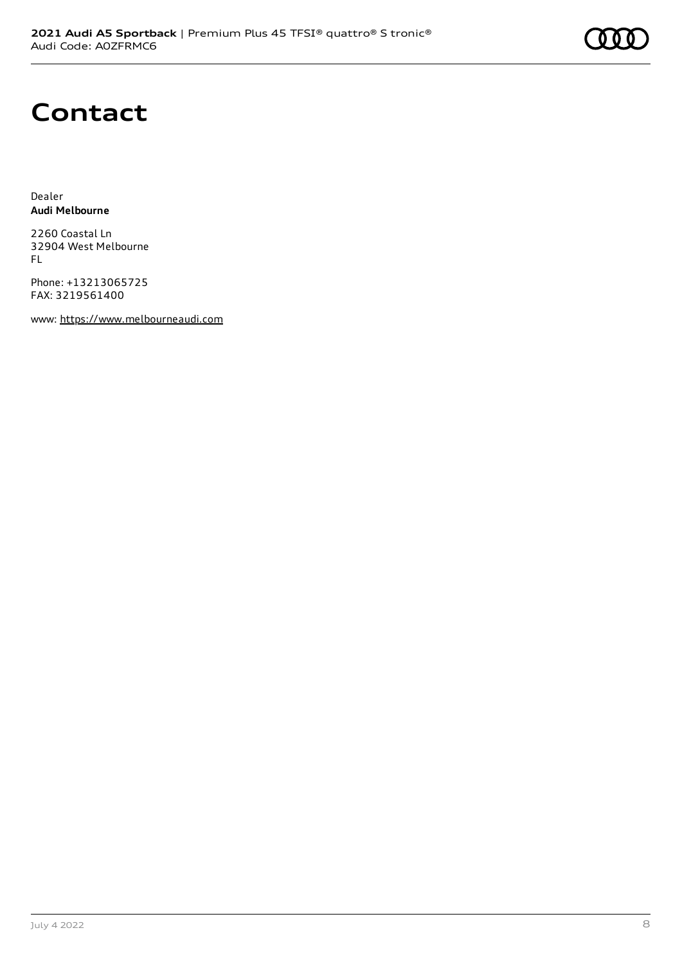# **Contact**

Dealer **Audi Melbourne**

2260 Coastal Ln 32904 West Melbourne FL

Phone: +13213065725 FAX: 3219561400

www: [https://www.melbourneaudi.com](https://www.melbourneaudi.com/)